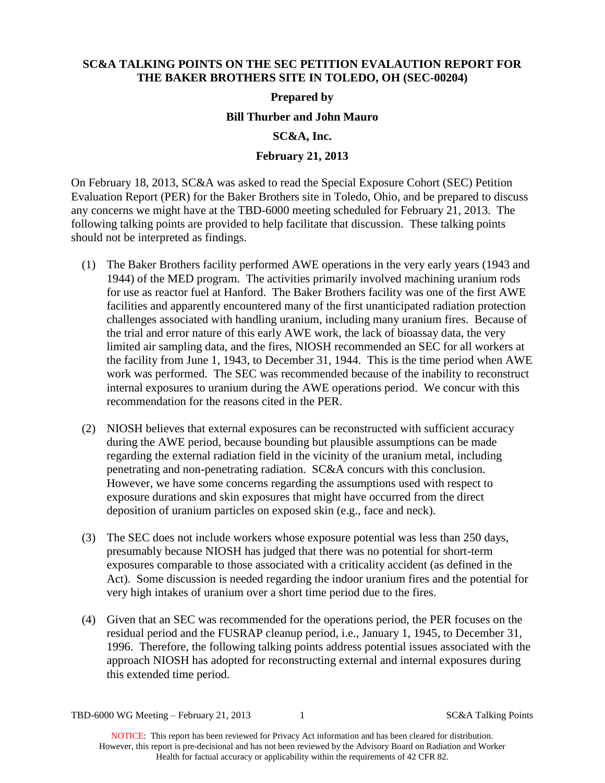### **SC&A TALKING POINTS ON THE SEC PETITION EVALAUTION REPORT FOR THE BAKER BROTHERS SITE IN TOLEDO, OH (SEC-00204)**

### **Prepared by**

# **Bill Thurber and John Mauro**

# **SC&A, Inc.**

# **February 21, 2013**

On February 18, 2013, SC&A was asked to read the Special Exposure Cohort (SEC) Petition Evaluation Report (PER) for the Baker Brothers site in Toledo, Ohio, and be prepared to discuss any concerns we might have at the TBD-6000 meeting scheduled for February 21, 2013. The following talking points are provided to help facilitate that discussion. These talking points should not be interpreted as findings.

- (1) The Baker Brothers facility performed AWE operations in the very early years (1943 and 1944) of the MED program. The activities primarily involved machining uranium rods for use as reactor fuel at Hanford. The Baker Brothers facility was one of the first AWE facilities and apparently encountered many of the first unanticipated radiation protection challenges associated with handling uranium, including many uranium fires. Because of the trial and error nature of this early AWE work, the lack of bioassay data, the very limited air sampling data, and the fires, NIOSH recommended an SEC for all workers at the facility from June 1, 1943, to December 31, 1944. This is the time period when AWE work was performed. The SEC was recommended because of the inability to reconstruct internal exposures to uranium during the AWE operations period. We concur with this recommendation for the reasons cited in the PER.
- (2) NIOSH believes that external exposures can be reconstructed with sufficient accuracy during the AWE period, because bounding but plausible assumptions can be made regarding the external radiation field in the vicinity of the uranium metal, including penetrating and non-penetrating radiation. SC&A concurs with this conclusion. However, we have some concerns regarding the assumptions used with respect to exposure durations and skin exposures that might have occurred from the direct deposition of uranium particles on exposed skin (e.g., face and neck).
- (3) The SEC does not include workers whose exposure potential was less than 250 days, presumably because NIOSH has judged that there was no potential for short-term exposures comparable to those associated with a criticality accident (as defined in the Act). Some discussion is needed regarding the indoor uranium fires and the potential for very high intakes of uranium over a short time period due to the fires.
- (4) Given that an SEC was recommended for the operations period, the PER focuses on the residual period and the FUSRAP cleanup period, i.e., January 1, 1945, to December 31, 1996. Therefore, the following talking points address potential issues associated with the approach NIOSH has adopted for reconstructing external and internal exposures during this extended time period.

TBD-6000 WG Meeting – February 21, 2013 1 SC&A Talking Points

NOTICE: This report has been reviewed for Privacy Act information and has been cleared for distribution. However, this report is pre-decisional and has not been reviewed by the Advisory Board on Radiation and Worker Health for factual accuracy or applicability within the requirements of 42 CFR 82.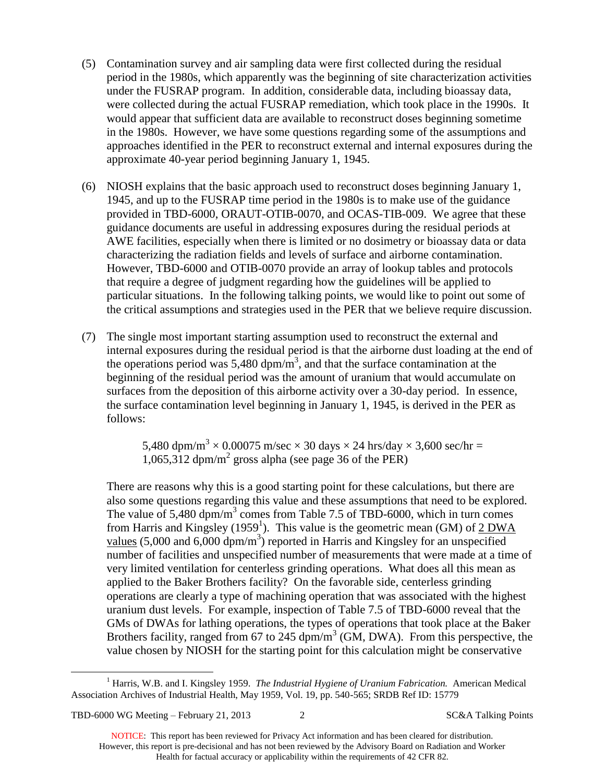- (5) Contamination survey and air sampling data were first collected during the residual period in the 1980s, which apparently was the beginning of site characterization activities under the FUSRAP program. In addition, considerable data, including bioassay data, were collected during the actual FUSRAP remediation, which took place in the 1990s. It would appear that sufficient data are available to reconstruct doses beginning sometime in the 1980s. However, we have some questions regarding some of the assumptions and approaches identified in the PER to reconstruct external and internal exposures during the approximate 40-year period beginning January 1, 1945.
- (6) NIOSH explains that the basic approach used to reconstruct doses beginning January 1, 1945, and up to the FUSRAP time period in the 1980s is to make use of the guidance provided in TBD-6000, ORAUT-OTIB-0070, and OCAS-TIB-009. We agree that these guidance documents are useful in addressing exposures during the residual periods at AWE facilities, especially when there is limited or no dosimetry or bioassay data or data characterizing the radiation fields and levels of surface and airborne contamination. However, TBD-6000 and OTIB-0070 provide an array of lookup tables and protocols that require a degree of judgment regarding how the guidelines will be applied to particular situations. In the following talking points, we would like to point out some of the critical assumptions and strategies used in the PER that we believe require discussion.
- (7) The single most important starting assumption used to reconstruct the external and internal exposures during the residual period is that the airborne dust loading at the end of the operations period was 5,480 dpm/ $\overline{m}^3$ , and that the surface contamination at the beginning of the residual period was the amount of uranium that would accumulate on surfaces from the deposition of this airborne activity over a 30-day period. In essence, the surface contamination level beginning in January 1, 1945, is derived in the PER as follows:

5,480 dpm/m<sup>3</sup>  $\times$  0.00075 m/sec  $\times$  30 days  $\times$  24 hrs/day  $\times$  3,600 sec/hr = 1,065,312 dpm/m<sup>2</sup> gross alpha (see page 36 of the PER)

There are reasons why this is a good starting point for these calculations, but there are also some questions regarding this value and these assumptions that need to be explored. The value of 5,480 dpm/m<sup>3</sup> comes from Table 7.5 of TBD-6000, which in turn comes from Harris and Kingsley (1959<sup>1</sup>). This value is the geometric mean (GM) of  $2$  DWA values (5,000 and 6,000 dpm/m<sup>3</sup>) reported in Harris and Kingsley for an unspecified number of facilities and unspecified number of measurements that were made at a time of very limited ventilation for centerless grinding operations. What does all this mean as applied to the Baker Brothers facility? On the favorable side, centerless grinding operations are clearly a type of machining operation that was associated with the highest uranium dust levels. For example, inspection of Table 7.5 of TBD-6000 reveal that the GMs of DWAs for lathing operations, the types of operations that took place at the Baker Brothers facility, ranged from 67 to 245 dpm/m<sup>3</sup> (GM, DWA). From this perspective, the value chosen by NIOSH for the starting point for this calculation might be conservative

TBD-6000 WG Meeting – February 21, 2013 2 SC&A Talking Points

 $\overline{a}$ 

NOTICE: This report has been reviewed for Privacy Act information and has been cleared for distribution. However, this report is pre-decisional and has not been reviewed by the Advisory Board on Radiation and Worker Health for factual accuracy or applicability within the requirements of 42 CFR 82.

<sup>1</sup> Harris, W.B. and I. Kingsley 1959. *The Industrial Hygiene of Uranium Fabrication.* American Medical Association Archives of Industrial Health, May 1959, Vol. 19, pp. 540-565; SRDB Ref ID: 15779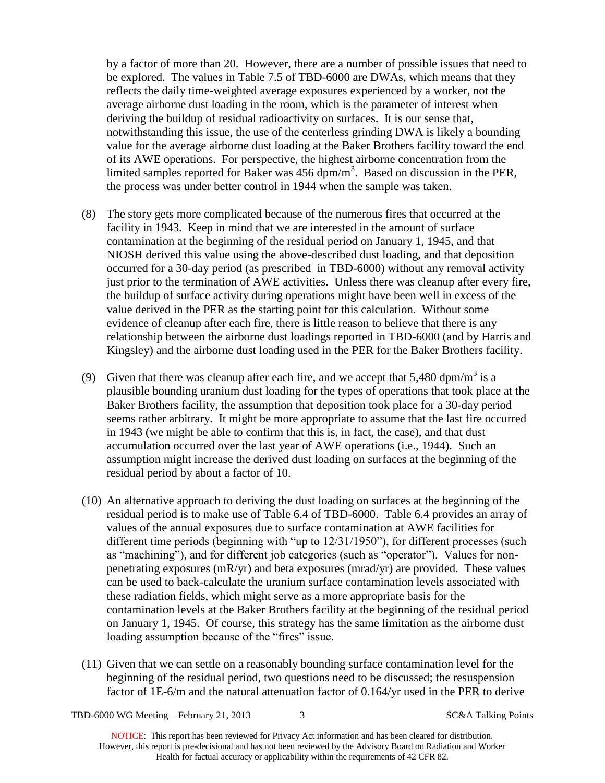by a factor of more than 20. However, there are a number of possible issues that need to be explored. The values in Table 7.5 of TBD-6000 are DWAs, which means that they reflects the daily time-weighted average exposures experienced by a worker, not the average airborne dust loading in the room, which is the parameter of interest when deriving the buildup of residual radioactivity on surfaces. It is our sense that, notwithstanding this issue, the use of the centerless grinding DWA is likely a bounding value for the average airborne dust loading at the Baker Brothers facility toward the end of its AWE operations. For perspective, the highest airborne concentration from the limited samples reported for Baker was  $456 \text{ dpm/m}^3$ . Based on discussion in the PER, the process was under better control in 1944 when the sample was taken.

- (8) The story gets more complicated because of the numerous fires that occurred at the facility in 1943. Keep in mind that we are interested in the amount of surface contamination at the beginning of the residual period on January 1, 1945, and that NIOSH derived this value using the above-described dust loading, and that deposition occurred for a 30-day period (as prescribed in TBD-6000) without any removal activity just prior to the termination of AWE activities. Unless there was cleanup after every fire, the buildup of surface activity during operations might have been well in excess of the value derived in the PER as the starting point for this calculation. Without some evidence of cleanup after each fire, there is little reason to believe that there is any relationship between the airborne dust loadings reported in TBD-6000 (and by Harris and Kingsley) and the airborne dust loading used in the PER for the Baker Brothers facility.
- (9) Given that there was cleanup after each fire, and we accept that 5,480 dpm/m<sup>3</sup> is a plausible bounding uranium dust loading for the types of operations that took place at the Baker Brothers facility, the assumption that deposition took place for a 30-day period seems rather arbitrary. It might be more appropriate to assume that the last fire occurred in 1943 (we might be able to confirm that this is, in fact, the case), and that dust accumulation occurred over the last year of AWE operations (i.e., 1944). Such an assumption might increase the derived dust loading on surfaces at the beginning of the residual period by about a factor of 10.
- (10) An alternative approach to deriving the dust loading on surfaces at the beginning of the residual period is to make use of Table 6.4 of TBD-6000. Table 6.4 provides an array of values of the annual exposures due to surface contamination at AWE facilities for different time periods (beginning with "up to 12/31/1950"), for different processes (such as "machining"), and for different job categories (such as "operator"). Values for nonpenetrating exposures (mR/yr) and beta exposures (mrad/yr) are provided. These values can be used to back-calculate the uranium surface contamination levels associated with these radiation fields, which might serve as a more appropriate basis for the contamination levels at the Baker Brothers facility at the beginning of the residual period on January 1, 1945. Of course, this strategy has the same limitation as the airborne dust loading assumption because of the "fires" issue.
- (11) Given that we can settle on a reasonably bounding surface contamination level for the beginning of the residual period, two questions need to be discussed; the resuspension factor of 1E-6/m and the natural attenuation factor of 0.164/yr used in the PER to derive

TBD-6000 WG Meeting – February 21, 2013 3 SC&A Talking Points

NOTICE: This report has been reviewed for Privacy Act information and has been cleared for distribution. However, this report is pre-decisional and has not been reviewed by the Advisory Board on Radiation and Worker Health for factual accuracy or applicability within the requirements of 42 CFR 82.